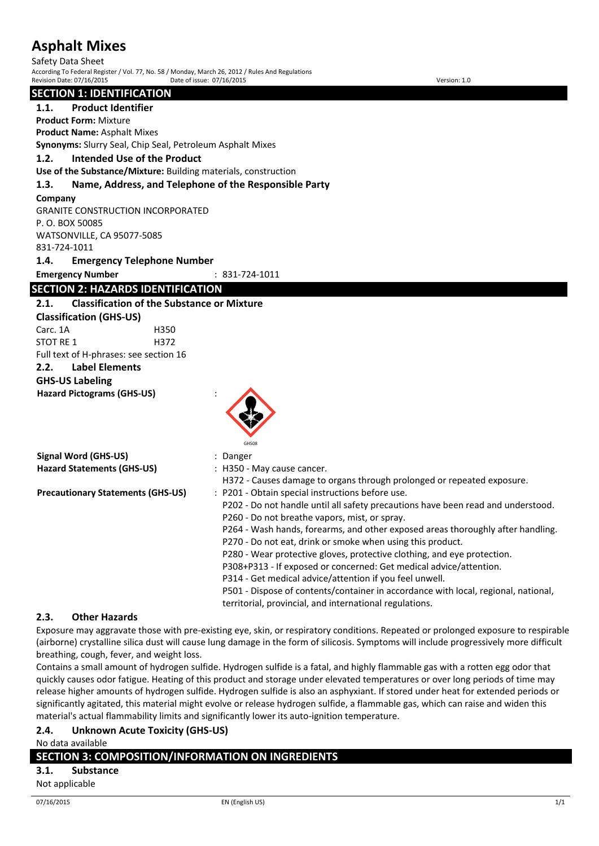Safety Data Sheet According To Federal Register / Vol. 77, No. 58 / Monday, March 26, 2012 / Rules And Regulations Revision Date: 07/16/2015 Date of issue: 07/16/2015 Version: 1.0

#### **SECTION 1: IDENTIFICATION**

**1.1. Product Identifier Product Form:** Mixture

**Product Name:** Asphalt Mixes

**Synonyms:** Slurry Seal, Chip Seal, Petroleum Asphalt Mixes

**1.2. Intended Use of the Product**

**Use of the Substance/Mixture:** Building materials, construction

#### **1.3. Name, Address, and Telephone of the Responsible Party**

#### **Company**

GRANITE CONSTRUCTION INCORPORATED P. O. BOX 50085 WATSONVILLE, CA 95077-5085 831-724-1011 **1.4. Emergency Telephone Number**

**Emergency Number** : 831-724-1011

## **SECTION 2: HAZARDS IDENTIFICATION**

### **2.1. Classification of the Substance or Mixture**

**Classification (GHS-US)** Carc. 1A H350 STOT RF 1 H372 Full text of H-phrases: see section 16

**2.2. Label Elements**

## **GHS-US Labeling**

**Hazard Pictograms (GHS-US)** :



|                                          | GHS08                                                                              |
|------------------------------------------|------------------------------------------------------------------------------------|
| Signal Word (GHS-US)                     | : Danger                                                                           |
| <b>Hazard Statements (GHS-US)</b>        | : H350 - May cause cancer.                                                         |
|                                          | H372 - Causes damage to organs through prolonged or repeated exposure.             |
| <b>Precautionary Statements (GHS-US)</b> | : P201 - Obtain special instructions before use.                                   |
|                                          | P202 - Do not handle until all safety precautions have been read and understood.   |
|                                          | P260 - Do not breathe vapors, mist, or spray.                                      |
|                                          | P264 - Wash hands, forearms, and other exposed areas thoroughly after handling.    |
|                                          | P270 - Do not eat, drink or smoke when using this product.                         |
|                                          | P280 - Wear protective gloves, protective clothing, and eye protection.            |
|                                          | P308+P313 - If exposed or concerned: Get medical advice/attention.                 |
|                                          | P314 - Get medical advice/attention if you feel unwell.                            |
|                                          | P501 - Dispose of contents/container in accordance with local, regional, national, |

#### **2.3. Other Hazards**

Exposure may aggravate those with pre-existing eye, skin, or respiratory conditions. Repeated or prolonged exposure to respirable (airborne) crystalline silica dust will cause lung damage in the form of silicosis. Symptoms will include progressively more difficult breathing, cough, fever, and weight loss.

territorial, provincial, and international regulations.

Contains a small amount of hydrogen sulfide. Hydrogen sulfide is a fatal, and highly flammable gas with a rotten egg odor that quickly causes odor fatigue. Heating of this product and storage under elevated temperatures or over long periods of time may release higher amounts of hydrogen sulfide. Hydrogen sulfide is also an asphyxiant. If stored under heat for extended periods or significantly agitated, this material might evolve or release hydrogen sulfide, a flammable gas, which can raise and widen this material's actual flammability limits and significantly lower its auto-ignition temperature.

### **2.4. Unknown Acute Toxicity (GHS-US)**

No data available

### **SECTION 3: COMPOSITION/INFORMATION ON INGREDIENTS**

**3.1. Substance**

Not applicable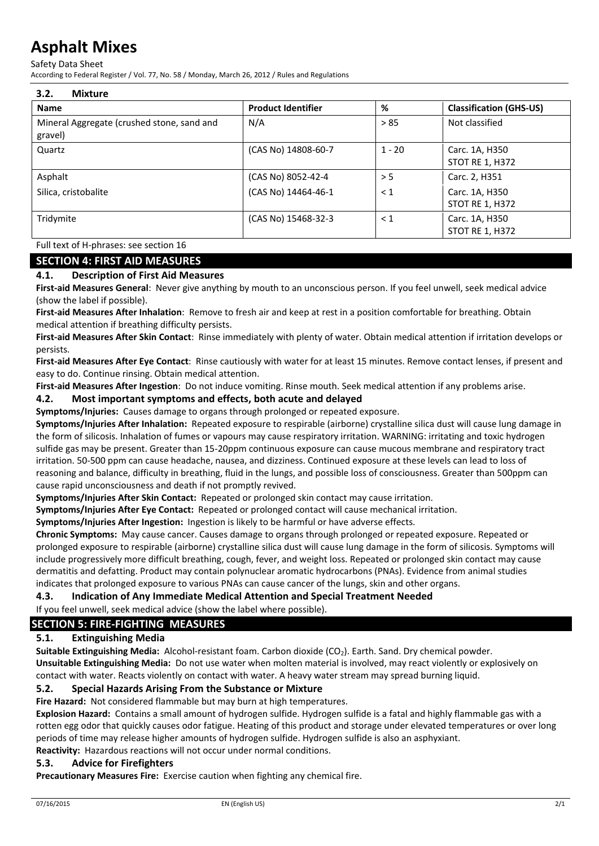Safety Data Sheet

According to Federal Register / Vol. 77, No. 58 / Monday, March 26, 2012 / Rules and Regulations

| 3.2.<br><b>Mixture</b>                                |                           |          |                                          |
|-------------------------------------------------------|---------------------------|----------|------------------------------------------|
| <b>Name</b>                                           | <b>Product Identifier</b> | %        | <b>Classification (GHS-US)</b>           |
| Mineral Aggregate (crushed stone, sand and<br>gravel) | N/A                       | > 85     | Not classified                           |
| Quartz                                                | (CAS No) 14808-60-7       | $1 - 20$ | Carc. 1A, H350<br><b>STOT RE 1, H372</b> |
| Asphalt                                               | (CAS No) 8052-42-4        | > 5      | Carc. 2, H351                            |
| Silica, cristobalite                                  | (CAS No) 14464-46-1       | $\leq 1$ | Carc. 1A, H350<br><b>STOT RE 1, H372</b> |
| Tridymite                                             | (CAS No) 15468-32-3       | < 1      | Carc. 1A, H350<br><b>STOT RE 1, H372</b> |

Full text of H-phrases: see section 16

### **SECTION 4: FIRST AID MEASURES**

### **4.1. Description of First Aid Measures**

**First-aid Measures General**: Never give anything by mouth to an unconscious person. If you feel unwell, seek medical advice (show the label if possible).

**First-aid Measures After Inhalation**: Remove to fresh air and keep at rest in a position comfortable for breathing. Obtain medical attention if breathing difficulty persists.

**First-aid Measures After Skin Contact**: Rinse immediately with plenty of water. Obtain medical attention if irritation develops or persists.

**First-aid Measures After Eye Contact**: Rinse cautiously with water for at least 15 minutes. Remove contact lenses, if present and easy to do. Continue rinsing. Obtain medical attention.

**First-aid Measures After Ingestion**: Do not induce vomiting. Rinse mouth. Seek medical attention if any problems arise.

#### **4.2. Most important symptoms and effects, both acute and delayed**

**Symptoms/Injuries:** Causes damage to organs through prolonged or repeated exposure.

**Symptoms/Injuries After Inhalation:** Repeated exposure to respirable (airborne) crystalline silica dust will cause lung damage in the form of silicosis. Inhalation of fumes or vapours may cause respiratory irritation. WARNING: irritating and toxic hydrogen sulfide gas may be present. Greater than 15-20ppm continuous exposure can cause mucous membrane and respiratory tract irritation. 50-500 ppm can cause headache, nausea, and dizziness. Continued exposure at these levels can lead to loss of reasoning and balance, difficulty in breathing, fluid in the lungs, and possible loss of consciousness. Greater than 500ppm can cause rapid unconsciousness and death if not promptly revived.

**Symptoms/Injuries After Skin Contact:** Repeated or prolonged skin contact may cause irritation.

**Symptoms/Injuries After Eye Contact:** Repeated or prolonged contact will cause mechanical irritation.

**Symptoms/Injuries After Ingestion:** Ingestion is likely to be harmful or have adverse effects.

**Chronic Symptoms:** May cause cancer. Causes damage to organs through prolonged or repeated exposure. Repeated or prolonged exposure to respirable (airborne) crystalline silica dust will cause lung damage in the form of silicosis. Symptoms will include progressively more difficult breathing, cough, fever, and weight loss. Repeated or prolonged skin contact may cause dermatitis and defatting. Product may contain polynuclear aromatic hydrocarbons (PNAs). Evidence from animal studies indicates that prolonged exposure to various PNAs can cause cancer of the lungs, skin and other organs.

**4.3. Indication of Any Immediate Medical Attention and Special Treatment Needed**

If you feel unwell, seek medical advice (show the label where possible).

## **SECTION 5: FIRE-FIGHTING MEASURES**

#### **5.1. Extinguishing Media**

**Suitable Extinguishing Media:** Alcohol-resistant foam. Carbon dioxide (CO<sub>2</sub>). Earth. Sand. Dry chemical powder. **Unsuitable Extinguishing Media:** Do not use water when molten material is involved, may react violently or explosively on contact with water. Reacts violently on contact with water. A heavy water stream may spread burning liquid.

#### **5.2. Special Hazards Arising From the Substance or Mixture**

**Fire Hazard:** Not considered flammable but may burn at high temperatures.

**Explosion Hazard:** Contains a small amount of hydrogen sulfide. Hydrogen sulfide is a fatal and highly flammable gas with a rotten egg odor that quickly causes odor fatigue. Heating of this product and storage under elevated temperatures or over long periods of time may release higher amounts of hydrogen sulfide. Hydrogen sulfide is also an asphyxiant. **Reactivity:** Hazardous reactions will not occur under normal conditions.

#### **5.3. Advice for Firefighters**

**Precautionary Measures Fire:** Exercise caution when fighting any chemical fire.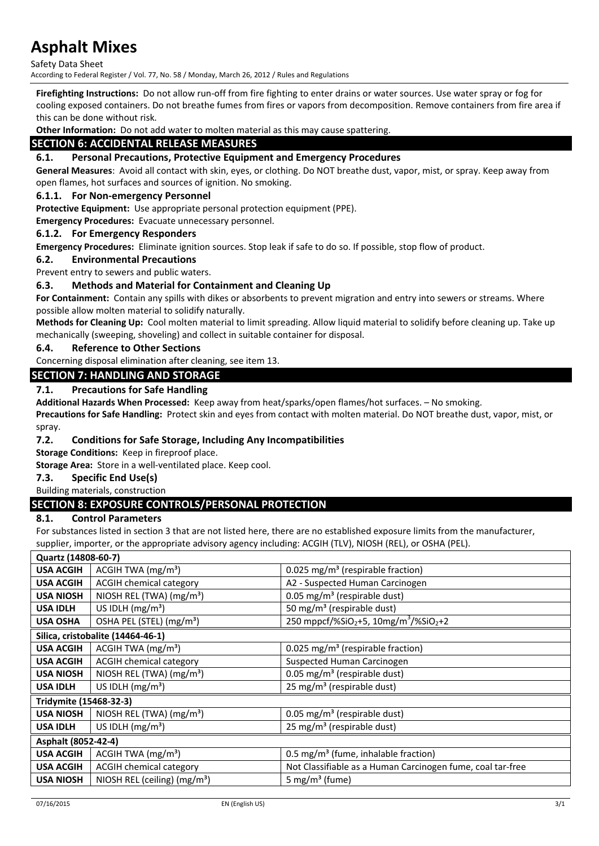Safety Data Sheet

According to Federal Register / Vol. 77, No. 58 / Monday, March 26, 2012 / Rules and Regulations

**Firefighting Instructions:** Do not allow run-off from fire fighting to enter drains or water sources. Use water spray or fog for cooling exposed containers. Do not breathe fumes from fires or vapors from decomposition. Remove containers from fire area if this can be done without risk.

**Other Information:** Do not add water to molten material as this may cause spattering.

## **SECTION 6: ACCIDENTAL RELEASE MEASURES**

#### **6.1. Personal Precautions, Protective Equipment and Emergency Procedures**

**General Measures**: Avoid all contact with skin, eyes, or clothing. Do NOT breathe dust, vapor, mist, or spray. Keep away from open flames, hot surfaces and sources of ignition. No smoking.

#### **6.1.1. For Non-emergency Personnel**

**Protective Equipment:** Use appropriate personal protection equipment (PPE).

**Emergency Procedures:** Evacuate unnecessary personnel.

#### **6.1.2. For Emergency Responders**

**Emergency Procedures:** Eliminate ignition sources. Stop leak if safe to do so. If possible, stop flow of product.

#### **6.2. Environmental Precautions**

Prevent entry to sewers and public waters.

#### **6.3. Methods and Material for Containment and Cleaning Up**

**For Containment:** Contain any spills with dikes or absorbents to prevent migration and entry into sewers or streams. Where possible allow molten material to solidify naturally.

**Methods for Cleaning Up:** Cool molten material to limit spreading. Allow liquid material to solidify before cleaning up. Take up mechanically (sweeping, shoveling) and collect in suitable container for disposal.

#### **6.4. Reference to Other Sections**

Concerning disposal elimination after cleaning, see item 13.

#### **SECTION 7: HANDLING AND STORAGE**

#### **7.1. Precautions for Safe Handling**

**Additional Hazards When Processed:** Keep away from heat/sparks/open flames/hot surfaces. – No smoking.

**Precautions for Safe Handling:** Protect skin and eyes from contact with molten material. Do NOT breathe dust, vapor, mist, or spray.

#### **7.2. Conditions for Safe Storage, Including Any Incompatibilities**

**Storage Conditions:** Keep in fireproof place.

**Storage Area:** Store in a well-ventilated place. Keep cool.

#### **7.3. Specific End Use(s)**

#### Building materials, construction

#### **SECTION 8: EXPOSURE CONTROLS/PERSONAL PROTECTION**

#### **8.1. Control Parameters**

For substances listed in section 3 that are not listed here, there are no established exposure limits from the manufacturer, supplier, importer, or the appropriate advisory agency including: ACGIH (TLV), NIOSH (REL), or OSHA (PEL).

| <b>USA ACGIH</b><br>ACGIH TWA $(mg/m3)$<br>0.025 mg/m <sup>3</sup> (respirable fraction)<br><b>USA ACGIH</b><br><b>ACGIH chemical category</b><br>A2 - Suspected Human Carcinogen<br>NIOSH REL (TWA) (mg/m <sup>3</sup> )<br>0.05 mg/m <sup>3</sup> (respirable dust)<br><b>USA NIOSH</b><br>US IDLH $(mg/m3)$<br>50 mg/m <sup>3</sup> (respirable dust)<br><b>USA IDLH</b><br>$250$ mppcf/%SiO <sub>2</sub> +5, 10mg/m <sup>3</sup> /%SiO <sub>2</sub> +2<br>OSHA PEL (STEL) (mg/m <sup>3</sup> )<br><b>USA OSHA</b><br>Silica, cristobalite (14464-46-1)<br><b>USA ACGIH</b><br>ACGIH TWA $(mg/m3)$<br>0.025 mg/m <sup>3</sup> (respirable fraction) |
|--------------------------------------------------------------------------------------------------------------------------------------------------------------------------------------------------------------------------------------------------------------------------------------------------------------------------------------------------------------------------------------------------------------------------------------------------------------------------------------------------------------------------------------------------------------------------------------------------------------------------------------------------------|
|                                                                                                                                                                                                                                                                                                                                                                                                                                                                                                                                                                                                                                                        |
|                                                                                                                                                                                                                                                                                                                                                                                                                                                                                                                                                                                                                                                        |
|                                                                                                                                                                                                                                                                                                                                                                                                                                                                                                                                                                                                                                                        |
|                                                                                                                                                                                                                                                                                                                                                                                                                                                                                                                                                                                                                                                        |
|                                                                                                                                                                                                                                                                                                                                                                                                                                                                                                                                                                                                                                                        |
|                                                                                                                                                                                                                                                                                                                                                                                                                                                                                                                                                                                                                                                        |
|                                                                                                                                                                                                                                                                                                                                                                                                                                                                                                                                                                                                                                                        |
| <b>ACGIH chemical category</b><br><b>USA ACGIH</b><br>Suspected Human Carcinogen                                                                                                                                                                                                                                                                                                                                                                                                                                                                                                                                                                       |
| NIOSH REL (TWA) (mg/m <sup>3</sup> )<br>0.05 mg/m <sup>3</sup> (respirable dust)<br><b>USA NIOSH</b>                                                                                                                                                                                                                                                                                                                                                                                                                                                                                                                                                   |
| US IDLH $(mg/m3)$<br>25 mg/m <sup>3</sup> (respirable dust)<br><b>USA IDLH</b>                                                                                                                                                                                                                                                                                                                                                                                                                                                                                                                                                                         |
| Tridymite (15468-32-3)                                                                                                                                                                                                                                                                                                                                                                                                                                                                                                                                                                                                                                 |
| <b>USA NIOSH</b><br>NIOSH REL (TWA) (mg/m <sup>3</sup> )<br>0.05 mg/m <sup>3</sup> (respirable dust)                                                                                                                                                                                                                                                                                                                                                                                                                                                                                                                                                   |
| US IDLH $(mg/m3)$<br>25 mg/m <sup>3</sup> (respirable dust)<br><b>USA IDLH</b>                                                                                                                                                                                                                                                                                                                                                                                                                                                                                                                                                                         |
| Asphalt (8052-42-4)                                                                                                                                                                                                                                                                                                                                                                                                                                                                                                                                                                                                                                    |
| <b>USA ACGIH</b><br>ACGIH TWA $(mg/m3)$<br>0.5 mg/m <sup>3</sup> (fume, inhalable fraction)                                                                                                                                                                                                                                                                                                                                                                                                                                                                                                                                                            |
| <b>ACGIH chemical category</b><br>Not Classifiable as a Human Carcinogen fume, coal tar-free<br><b>USA ACGIH</b>                                                                                                                                                                                                                                                                                                                                                                                                                                                                                                                                       |
| NIOSH REL (ceiling) (mg/m <sup>3</sup> )<br>5 mg/m <sup>3</sup> (fume)<br><b>USA NIOSH</b>                                                                                                                                                                                                                                                                                                                                                                                                                                                                                                                                                             |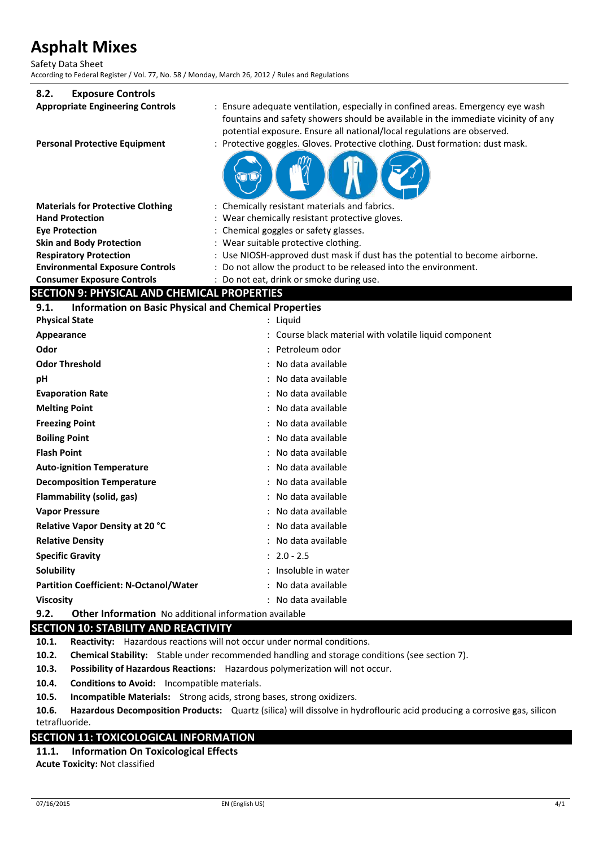Safety Data Sheet According to Federal Register / Vol. 77, No. 58 / Monday, March 26, 2012 / Rules and Regulations

#### **8.2. Exposure Controls**

| δ.Ζ.<br><b>EXPOSURE CONTROIS</b>                                                              |                                                                                                                                                                                                                                                 |
|-----------------------------------------------------------------------------------------------|-------------------------------------------------------------------------------------------------------------------------------------------------------------------------------------------------------------------------------------------------|
| <b>Appropriate Engineering Controls</b>                                                       | : Ensure adequate ventilation, especially in confined areas. Emergency eye wash<br>fountains and safety showers should be available in the immediate vicinity of any<br>potential exposure. Ensure all national/local regulations are observed. |
| <b>Personal Protective Equipment</b>                                                          | : Protective goggles. Gloves. Protective clothing. Dust formation: dust mask.                                                                                                                                                                   |
|                                                                                               |                                                                                                                                                                                                                                                 |
| <b>Materials for Protective Clothing</b>                                                      | : Chemically resistant materials and fabrics.                                                                                                                                                                                                   |
| <b>Hand Protection</b>                                                                        | Wear chemically resistant protective gloves.                                                                                                                                                                                                    |
| <b>Eye Protection</b>                                                                         | : Chemical goggles or safety glasses.                                                                                                                                                                                                           |
| <b>Skin and Body Protection</b>                                                               | Wear suitable protective clothing.                                                                                                                                                                                                              |
| <b>Respiratory Protection</b>                                                                 | : Use NIOSH-approved dust mask if dust has the potential to become airborne.                                                                                                                                                                    |
| <b>Environmental Exposure Controls</b>                                                        | Do not allow the product to be released into the environment.                                                                                                                                                                                   |
| <b>Consumer Exposure Controls</b>                                                             | : Do not eat, drink or smoke during use.                                                                                                                                                                                                        |
| <b>SECTION 9: PHYSICAL AND CHEMICAL PROPERTIES</b>                                            |                                                                                                                                                                                                                                                 |
| <b>Information on Basic Physical and Chemical Properties</b><br>9.1.<br><b>Physical State</b> | : Liquid                                                                                                                                                                                                                                        |
|                                                                                               | Course black material with volatile liquid component                                                                                                                                                                                            |
| Appearance<br>Odor                                                                            |                                                                                                                                                                                                                                                 |
|                                                                                               | Petroleum odor                                                                                                                                                                                                                                  |
| <b>Odor Threshold</b>                                                                         | No data available                                                                                                                                                                                                                               |
| рH                                                                                            | No data available                                                                                                                                                                                                                               |
| <b>Evaporation Rate</b>                                                                       | No data available                                                                                                                                                                                                                               |
| <b>Melting Point</b>                                                                          | No data available                                                                                                                                                                                                                               |
| <b>Freezing Point</b>                                                                         | No data available                                                                                                                                                                                                                               |
| <b>Boiling Point</b>                                                                          | No data available                                                                                                                                                                                                                               |
| <b>Flash Point</b>                                                                            | No data available                                                                                                                                                                                                                               |
| <b>Auto-ignition Temperature</b>                                                              | No data available                                                                                                                                                                                                                               |
| <b>Decomposition Temperature</b>                                                              | No data available                                                                                                                                                                                                                               |
| Flammability (solid, gas)                                                                     | No data available                                                                                                                                                                                                                               |
| <b>Vapor Pressure</b>                                                                         | No data available                                                                                                                                                                                                                               |
| Relative Vapor Density at 20 °C                                                               | No data available                                                                                                                                                                                                                               |
| <b>Relative Density</b>                                                                       | No data available                                                                                                                                                                                                                               |
| <b>Specific Gravity</b>                                                                       | $: 2.0 - 2.5$                                                                                                                                                                                                                                   |
| Solubility                                                                                    | Insoluble in water                                                                                                                                                                                                                              |
| <b>Partition Coefficient: N-Octanol/Water</b>                                                 | No data available                                                                                                                                                                                                                               |
| <b>Viscosity</b>                                                                              | : No data available                                                                                                                                                                                                                             |

**9.2. Other Information** No additional information available

### **SECTION 10: STABILITY AND REACTIVITY**

**10.1. Reactivity:** Hazardous reactions will not occur under normal conditions.

**10.2. Chemical Stability:** Stable under recommended handling and storage conditions (see section 7).

**10.3. Possibility of Hazardous Reactions:** Hazardous polymerization will not occur.

**10.4. Conditions to Avoid:** Incompatible materials.

**10.5. Incompatible Materials:** Strong acids, strong bases, strong oxidizers.

**10.6. Hazardous Decomposition Products:** Quartz (silica) will dissolve in hydroflouric acid producing a corrosive gas, silicon tetrafluoride.

#### **SECTION 11: TOXICOLOGICAL INFORMATION**

**11.1. Information On Toxicological Effects Acute Toxicity:** Not classified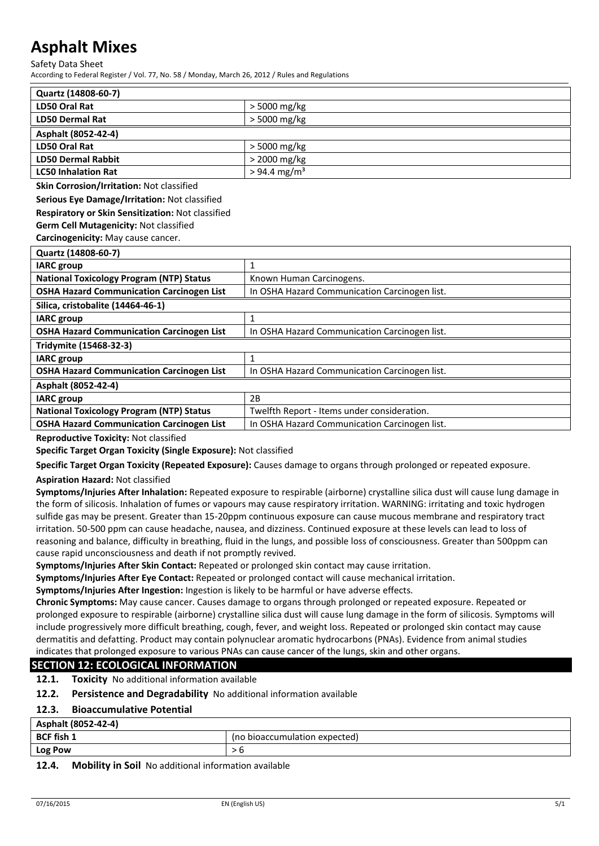Safety Data Sheet

According to Federal Register / Vol. 77, No. 58 / Monday, March 26, 2012 / Rules and Regulations

| Quartz (14808-60-7)        |                            |
|----------------------------|----------------------------|
| LD50 Oral Rat              | $>$ 5000 mg/kg             |
| <b>LD50 Dermal Rat</b>     | $>$ 5000 mg/kg             |
| Asphalt (8052-42-4)        |                            |
| LD50 Oral Rat              | $>$ 5000 mg/kg             |
| <b>LD50 Dermal Rabbit</b>  | $>$ 2000 mg/kg             |
| <b>LC50 Inhalation Rat</b> | $> 94.4$ mg/m <sup>3</sup> |

**Skin Corrosion/Irritation:** Not classified

**Serious Eye Damage/Irritation:** Not classified

#### **Respiratory or Skin Sensitization:** Not classified

**Germ Cell Mutagenicity:** Not classified

**Carcinogenicity:** May cause cancer.

| Quartz (14808-60-7)                              |                                               |
|--------------------------------------------------|-----------------------------------------------|
| <b>IARC</b> group                                |                                               |
| <b>National Toxicology Program (NTP) Status</b>  | Known Human Carcinogens.                      |
| <b>OSHA Hazard Communication Carcinogen List</b> | In OSHA Hazard Communication Carcinogen list. |
| Silica, cristobalite (14464-46-1)                |                                               |
| <b>IARC</b> group                                |                                               |
| <b>OSHA Hazard Communication Carcinogen List</b> | In OSHA Hazard Communication Carcinogen list. |
| Tridymite (15468-32-3)                           |                                               |
| <b>IARC</b> group                                |                                               |
| <b>OSHA Hazard Communication Carcinogen List</b> | In OSHA Hazard Communication Carcinogen list. |
| Asphalt (8052-42-4)                              |                                               |
| <b>IARC</b> group                                | 2B                                            |
| <b>National Toxicology Program (NTP) Status</b>  | Twelfth Report - Items under consideration.   |
| <b>OSHA Hazard Communication Carcinogen List</b> | In OSHA Hazard Communication Carcinogen list. |

**Reproductive Toxicity:** Not classified

**Specific Target Organ Toxicity (Single Exposure):** Not classified

**Specific Target Organ Toxicity (Repeated Exposure):** Causes damage to organs through prolonged or repeated exposure.

#### **Aspiration Hazard:** Not classified

**Symptoms/Injuries After Inhalation:** Repeated exposure to respirable (airborne) crystalline silica dust will cause lung damage in the form of silicosis. Inhalation of fumes or vapours may cause respiratory irritation. WARNING: irritating and toxic hydrogen sulfide gas may be present. Greater than 15-20ppm continuous exposure can cause mucous membrane and respiratory tract irritation. 50-500 ppm can cause headache, nausea, and dizziness. Continued exposure at these levels can lead to loss of reasoning and balance, difficulty in breathing, fluid in the lungs, and possible loss of consciousness. Greater than 500ppm can cause rapid unconsciousness and death if not promptly revived.

**Symptoms/Injuries After Skin Contact:** Repeated or prolonged skin contact may cause irritation.

**Symptoms/Injuries After Eye Contact:** Repeated or prolonged contact will cause mechanical irritation.

**Symptoms/Injuries After Ingestion:** Ingestion is likely to be harmful or have adverse effects.

**Chronic Symptoms:** May cause cancer. Causes damage to organs through prolonged or repeated exposure. Repeated or prolonged exposure to respirable (airborne) crystalline silica dust will cause lung damage in the form of silicosis. Symptoms will include progressively more difficult breathing, cough, fever, and weight loss. Repeated or prolonged skin contact may cause dermatitis and defatting. Product may contain polynuclear aromatic hydrocarbons (PNAs). Evidence from animal studies indicates that prolonged exposure to various PNAs can cause cancer of the lungs, skin and other organs.

#### **SECTION 12: ECOLOGICAL INFORMATION**

**12.1. Toxicity** No additional information available

**12.2. Persistence and Degradability** No additional information available

#### **12.3. Bioaccumulative Potential**

| Asphalt (8052-42-4) |                               |
|---------------------|-------------------------------|
| <b>BCF fish 1</b>   | (no bioaccumulation expected) |
| <b>Log Pow</b>      |                               |
|                     |                               |

#### **12.4. Mobility in Soil** No additional information available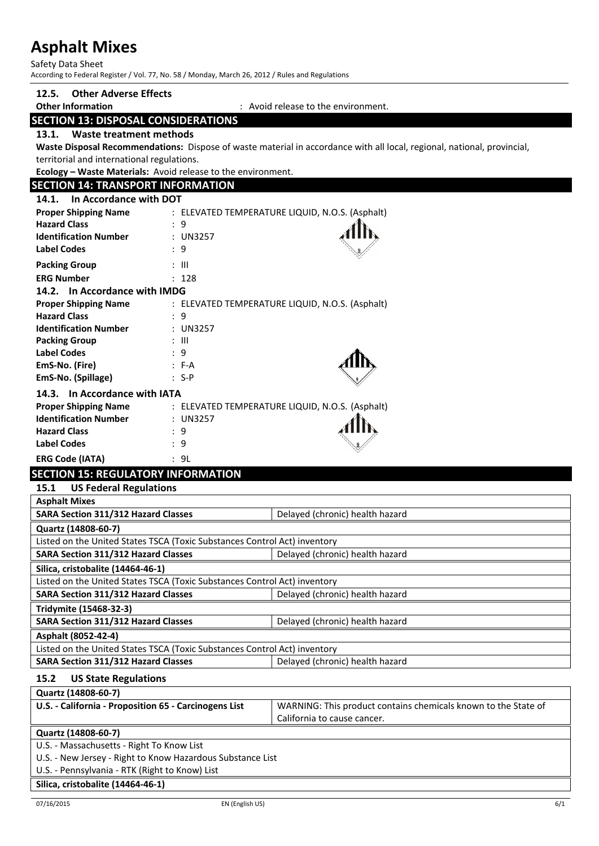Safety Data Sheet According to Federal Register / Vol. 77, No. 58 / Monday, March 26, 2012 / Rules and Regulations

| <b>Other Adverse Effects</b><br>12.5.                                                                   |                    |                                                                                                                         |
|---------------------------------------------------------------------------------------------------------|--------------------|-------------------------------------------------------------------------------------------------------------------------|
| <b>Other Information</b>                                                                                |                    | : Avoid release to the environment.                                                                                     |
| <b>SECTION 13: DISPOSAL CONSIDERATIONS</b>                                                              |                    |                                                                                                                         |
| Waste treatment methods<br>13.1.                                                                        |                    |                                                                                                                         |
|                                                                                                         |                    | Waste Disposal Recommendations: Dispose of waste material in accordance with all local, regional, national, provincial, |
| territorial and international regulations.                                                              |                    |                                                                                                                         |
| Ecology - Waste Materials: Avoid release to the environment.                                            |                    |                                                                                                                         |
| <b>SECTION 14: TRANSPORT INFORMATION</b>                                                                |                    |                                                                                                                         |
| In Accordance with DOT<br>14.1.                                                                         |                    |                                                                                                                         |
| <b>Proper Shipping Name</b>                                                                             |                    | : ELEVATED TEMPERATURE LIQUID, N.O.S. (Asphalt)                                                                         |
| <b>Hazard Class</b><br>: 9                                                                              |                    |                                                                                                                         |
| <b>Identification Number</b>                                                                            | : UN3257           |                                                                                                                         |
| <b>Label Codes</b><br>: 9                                                                               |                    |                                                                                                                         |
| <b>Packing Group</b><br>: III                                                                           |                    |                                                                                                                         |
| <b>ERG Number</b>                                                                                       | : 128              |                                                                                                                         |
| 14.2. In Accordance with IMDG                                                                           |                    |                                                                                                                         |
| <b>Proper Shipping Name</b>                                                                             |                    | : ELEVATED TEMPERATURE LIQUID, N.O.S. (Asphalt)                                                                         |
| <b>Hazard Class</b><br>$\div$ 9                                                                         |                    |                                                                                                                         |
| <b>Identification Number</b>                                                                            | : UN3257           |                                                                                                                         |
| <b>Packing Group</b><br>: III                                                                           |                    |                                                                                                                         |
| <b>Label Codes</b><br>: 9                                                                               |                    |                                                                                                                         |
| EmS-No. (Fire)<br>EmS-No. (Spillage)                                                                    | $: F-A$<br>$: S-P$ |                                                                                                                         |
|                                                                                                         |                    |                                                                                                                         |
| 14.3. In Accordance with IATA                                                                           |                    |                                                                                                                         |
| <b>Proper Shipping Name</b><br><b>Identification Number</b>                                             |                    | : ELEVATED TEMPERATURE LIQUID, N.O.S. (Asphalt)                                                                         |
| <b>Hazard Class</b><br>: 9                                                                              | : UN3257           |                                                                                                                         |
| <b>Label Codes</b><br>: 9                                                                               |                    |                                                                                                                         |
|                                                                                                         |                    |                                                                                                                         |
| <b>ERG Code (IATA)</b><br>: 9L                                                                          |                    |                                                                                                                         |
| <b>SECTION 15: REGULATORY INFORMATION</b>                                                               |                    |                                                                                                                         |
| <b>US Federal Regulations</b><br>15.1                                                                   |                    |                                                                                                                         |
| <b>Asphalt Mixes</b>                                                                                    |                    |                                                                                                                         |
| <b>SARA Section 311/312 Hazard Classes</b>                                                              |                    | Delayed (chronic) health hazard                                                                                         |
| Quartz (14808-60-7)<br>Listed on the United States TSCA (Toxic Substances Control Act) inventory        |                    |                                                                                                                         |
| <b>SARA Section 311/312 Hazard Classes</b>                                                              |                    | Delayed (chronic) health hazard                                                                                         |
| Silica, cristobalite (14464-46-1)                                                                       |                    |                                                                                                                         |
| Listed on the United States TSCA (Toxic Substances Control Act) inventory                               |                    |                                                                                                                         |
| <b>SARA Section 311/312 Hazard Classes</b>                                                              |                    | Delayed (chronic) health hazard                                                                                         |
| Tridymite (15468-32-3)                                                                                  |                    |                                                                                                                         |
| SARA Section 311/312 Hazard Classes                                                                     |                    | Delayed (chronic) health hazard                                                                                         |
| Asphalt (8052-42-4)                                                                                     |                    |                                                                                                                         |
| Listed on the United States TSCA (Toxic Substances Control Act) inventory                               |                    |                                                                                                                         |
| <b>SARA Section 311/312 Hazard Classes</b>                                                              |                    | Delayed (chronic) health hazard                                                                                         |
|                                                                                                         |                    |                                                                                                                         |
| 15.2<br><b>US State Regulations</b>                                                                     |                    |                                                                                                                         |
| Quartz (14808-60-7)                                                                                     |                    |                                                                                                                         |
| U.S. - California - Proposition 65 - Carcinogens List                                                   |                    | WARNING: This product contains chemicals known to the State of                                                          |
|                                                                                                         |                    | California to cause cancer.                                                                                             |
| Quartz (14808-60-7)                                                                                     |                    |                                                                                                                         |
| U.S. - Massachusetts - Right To Know List<br>U.S. - New Jersey - Right to Know Hazardous Substance List |                    |                                                                                                                         |
| U.S. - Pennsylvania - RTK (Right to Know) List                                                          |                    |                                                                                                                         |
|                                                                                                         |                    |                                                                                                                         |
| Silica, cristobalite (14464-46-1)                                                                       |                    |                                                                                                                         |